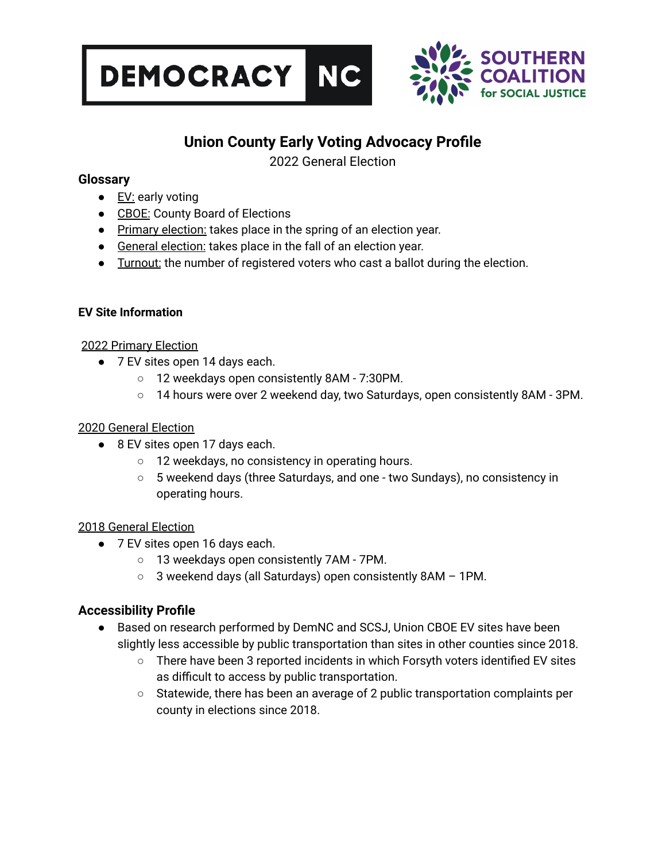



# **Union County Early Voting Advocacy Profile**

2022 General Election

#### **Glossary**

- EV: early voting
- CBOE: County Board of Elections
- Primary election: takes place in the spring of an election year.
- General election: takes place in the fall of an election year.
- **•** Turnout: the number of registered voters who cast a ballot during the election.

#### **EV Site Information**

#### 2022 Primary Election

- 7 EV sites open 14 days each.
	- 12 weekdays open consistently 8AM 7:30PM.
	- 14 hours were over 2 weekend day, two Saturdays, open consistently 8AM 3PM.

#### 2020 General Election

- 8 EV sites open 17 days each.
	- 12 weekdays, no consistency in operating hours.
	- 5 weekend days (three Saturdays, and one two Sundays), no consistency in operating hours.

#### 2018 General Election

- 7 EV sites open 16 days each.
	- 13 weekdays open consistently 7AM 7PM.
	- 3 weekend days (all Saturdays) open consistently 8AM 1PM.

### **Accessibility Profile**

- Based on research performed by DemNC and SCSJ, Union CBOE EV sites have been slightly less accessible by public transportation than sites in other counties since 2018.
	- There have been 3 reported incidents in which Forsyth voters identified EV sites as difficult to access by public transportation.
	- Statewide, there has been an average of 2 public transportation complaints per county in elections since 2018.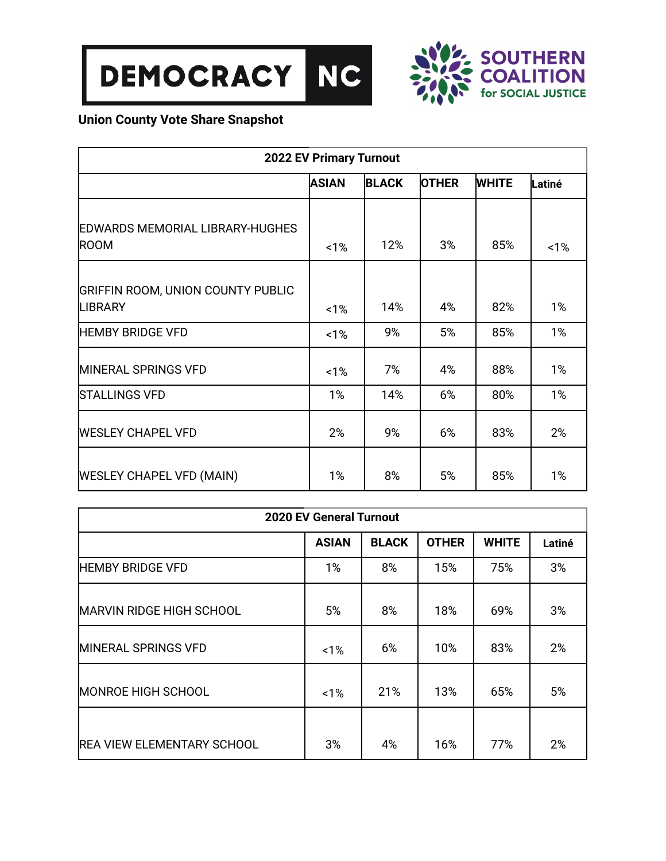



## **Union County Vote Share Snapshot**

| <b>2022 EV Primary Turnout</b>                             |              |              |              |              |        |  |
|------------------------------------------------------------|--------------|--------------|--------------|--------------|--------|--|
|                                                            | <b>ASIAN</b> | <b>BLACK</b> | <b>OTHER</b> | <b>WHITE</b> | Latiné |  |
| <b>EDWARDS MEMORIAL LIBRARY-HUGHES</b><br><b>ROOM</b>      | 1%           | 12%          | 3%           | 85%          | 1%     |  |
| <b>GRIFFIN ROOM, UNION COUNTY PUBLIC</b><br><b>LIBRARY</b> | 1%           | 14%          | 4%           | 82%          | 1%     |  |
| <b>HEMBY BRIDGE VFD</b>                                    | 1%           | 9%           | 5%           | 85%          | 1%     |  |
| <b>MINERAL SPRINGS VFD</b>                                 | 1%           | 7%           | 4%           | 88%          | 1%     |  |
| <b>STALLINGS VFD</b>                                       | 1%           | 14%          | 6%           | 80%          | 1%     |  |
| <b>WESLEY CHAPEL VFD</b>                                   | 2%           | 9%           | 6%           | 83%          | 2%     |  |
| <b>WESLEY CHAPEL VFD (MAIN)</b>                            | 1%           | 8%           | 5%           | 85%          | 1%     |  |

| <b>2020 EV General Turnout</b>    |              |              |              |              |        |  |
|-----------------------------------|--------------|--------------|--------------|--------------|--------|--|
|                                   | <b>ASIAN</b> | <b>BLACK</b> | <b>OTHER</b> | <b>WHITE</b> | Latiné |  |
| <b>HEMBY BRIDGE VFD</b>           | 1%           | 8%           | 15%          | 75%          | 3%     |  |
| MARVIN RIDGE HIGH SCHOOL          | 5%           | 8%           | 18%          | 69%          | 3%     |  |
| <b>MINERAL SPRINGS VFD</b>        | 1%           | 6%           | 10%          | 83%          | 2%     |  |
| MONROE HIGH SCHOOL                | 1%           | 21%          | 13%          | 65%          | 5%     |  |
| <b>REA VIEW ELEMENTARY SCHOOL</b> | 3%           | 4%           | 16%          | 77%          | 2%     |  |